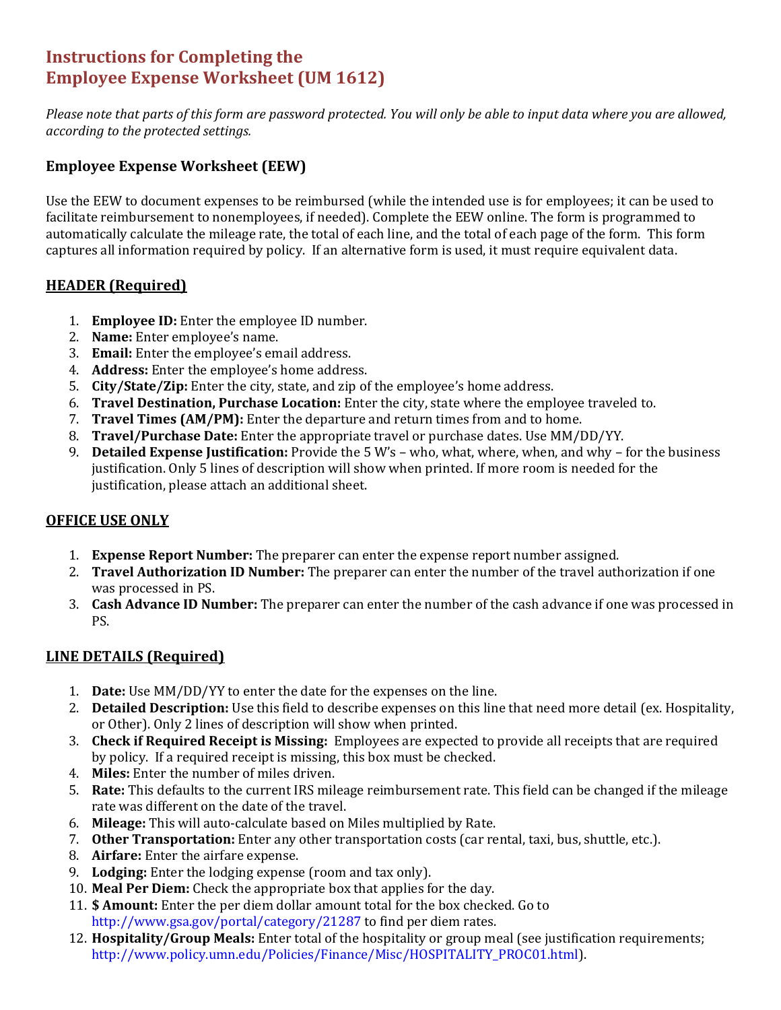# **Instructions for Completing the Employee Expense Worksheet (UM 1612)**

Please note that parts of this form are password protected. You will only be able to input data where you are allowed, *according to the protected settings.*

## **Employee Expense Worksheet (EEW)**

Use the EEW to document expenses to be reimbursed (while the intended use is for employees; it can be used to facilitate reimbursement to nonemployees, if needed). Complete the EEW online. The form is programmed to automatically calculate the mileage rate, the total of each line, and the total of each page of the form. This form captures all information required by policy. If an alternative form is used, it must require equivalent data.

### **HEADER (Required)**

- 1. **Employee ID:** Enter the employee ID number.
- 2. **Name:** Enter employee's name.
- 3. **Email:** Enter the employee's email address.
- 4. **Address:** Enter the employee's home address.
- 5. **City/State/Zip:** Enter the city, state, and zip of the employee's home address.
- 6. **Travel Destination, Purchase Location:** Enter the city, state where the employee traveled to.
- 7. **Travel Times (AM/PM):** Enter the departure and return times from and to home.
- 8. **Travel/Purchase Date:** Enter the appropriate travel or purchase dates. Use MM/DD/YY.
- 9. **Detailed Expense Justification:** Provide the 5 W's who, what, where, when, and why for the business justification. Only 5 lines of description will show when printed. If more room is needed for the justification, please attach an additional sheet.

### **OFFICE USE ONLY**

- 1. **Expense Report Number:** The preparer can enter the expense report number assigned.
- 2. **Travel Authorization ID Number:** The preparer can enter the number of the travel authorization if one was processed in PS.
- 3. **Cash Advance ID Number:** The preparer can enter the number of the cash advance if one was processed in PS.

### **LINE DETAILS (Required)**

- 1. **Date:** Use MM/DD/YY to enter the date for the expenses on the line.
- 2. **Detailed Description:** Use this field to describe expenses on this line that need more detail (ex. Hospitality, or Other). Only 2 lines of description will show when printed.
- 3. **Check if Required Receipt is Missing:** Employees are expected to provide all receipts that are required by policy. If a required receipt is missing, this box must be checked.
- 4. **Miles:** Enter the number of miles driven.
- 5. **Rate:** This defaults to the current IRS mileage reimbursement rate. This field can be changed if the mileage rate was different on the date of the travel.
- 6. **Mileage:** This will auto‐calculate based on Miles multiplied by Rate.
- 7. **Other Transportation:** Enter any other transportation costs (car rental, taxi, bus, shuttle, etc.).
- 8. **Airfare:** Enter the airfare expense.
- 9. **Lodging:** Enter the lodging expense (room and tax only).
- 10. **Meal Per Diem:** Check the appropriate box that applies for the day.
- 11. **\$ Amount:** Enter the per diem dollar amount total for the box checked. Go to http://www.gsa.gov/portal/category/21287 to find per diem rates.
- 12. **Hospitality/Group Meals:** Enter total of the hospitality or group meal (see justification requirements; http://www.policy.umn.edu/Policies/Finance/Misc/HOSPITALITY\_PROC01.html).